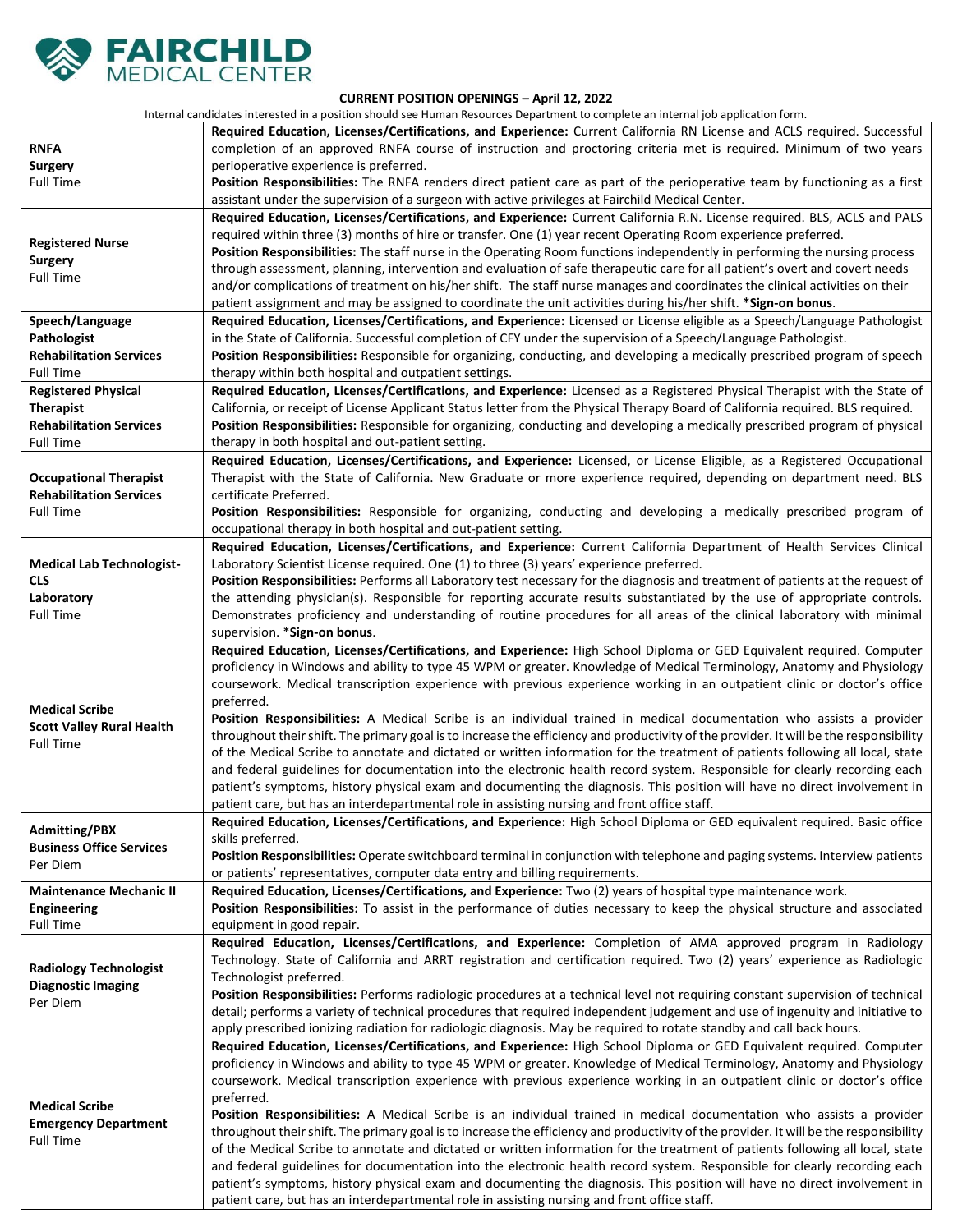

## **CURRENT POSITION OPENINGS – April 12, 2022**

Internal candidates interested in a position should see Human Resources Department to complete an internal job application form.

|                                                                                                      | internal candidates interested in a position should see Human Resources Department to complete an internal job application form.                                                                                                                                                                                                                                                                                                                                                                                                                                                                                                                                                                                                                                                                                                                                                                                                                                                                                                                                                                                                                        |
|------------------------------------------------------------------------------------------------------|---------------------------------------------------------------------------------------------------------------------------------------------------------------------------------------------------------------------------------------------------------------------------------------------------------------------------------------------------------------------------------------------------------------------------------------------------------------------------------------------------------------------------------------------------------------------------------------------------------------------------------------------------------------------------------------------------------------------------------------------------------------------------------------------------------------------------------------------------------------------------------------------------------------------------------------------------------------------------------------------------------------------------------------------------------------------------------------------------------------------------------------------------------|
| <b>RNFA</b><br><b>Surgery</b><br><b>Full Time</b>                                                    | Required Education, Licenses/Certifications, and Experience: Current California RN License and ACLS required. Successful<br>completion of an approved RNFA course of instruction and proctoring criteria met is required. Minimum of two years<br>perioperative experience is preferred.<br>Position Responsibilities: The RNFA renders direct patient care as part of the perioperative team by functioning as a first<br>assistant under the supervision of a surgeon with active privileges at Fairchild Medical Center.                                                                                                                                                                                                                                                                                                                                                                                                                                                                                                                                                                                                                             |
| <b>Registered Nurse</b><br><b>Surgery</b><br><b>Full Time</b>                                        | Required Education, Licenses/Certifications, and Experience: Current California R.N. License required. BLS, ACLS and PALS<br>required within three (3) months of hire or transfer. One (1) year recent Operating Room experience preferred.<br>Position Responsibilities: The staff nurse in the Operating Room functions independently in performing the nursing process<br>through assessment, planning, intervention and evaluation of safe therapeutic care for all patient's overt and covert needs<br>and/or complications of treatment on his/her shift. The staff nurse manages and coordinates the clinical activities on their<br>patient assignment and may be assigned to coordinate the unit activities during his/her shift. * Sign-on bonus.                                                                                                                                                                                                                                                                                                                                                                                             |
| Speech/Language<br>Pathologist<br><b>Rehabilitation Services</b><br><b>Full Time</b>                 | Required Education, Licenses/Certifications, and Experience: Licensed or License eligible as a Speech/Language Pathologist<br>in the State of California. Successful completion of CFY under the supervision of a Speech/Language Pathologist.<br>Position Responsibilities: Responsible for organizing, conducting, and developing a medically prescribed program of speech<br>therapy within both hospital and outpatient settings.                                                                                                                                                                                                                                                                                                                                                                                                                                                                                                                                                                                                                                                                                                                   |
| <b>Registered Physical</b><br><b>Therapist</b><br><b>Rehabilitation Services</b><br><b>Full Time</b> | Required Education, Licenses/Certifications, and Experience: Licensed as a Registered Physical Therapist with the State of<br>California, or receipt of License Applicant Status letter from the Physical Therapy Board of California required. BLS required.<br>Position Responsibilities: Responsible for organizing, conducting and developing a medically prescribed program of physical<br>therapy in both hospital and out-patient setting.                                                                                                                                                                                                                                                                                                                                                                                                                                                                                                                                                                                                                                                                                                       |
| <b>Occupational Therapist</b><br><b>Rehabilitation Services</b><br><b>Full Time</b>                  | Required Education, Licenses/Certifications, and Experience: Licensed, or License Eligible, as a Registered Occupational<br>Therapist with the State of California. New Graduate or more experience required, depending on department need. BLS<br>certificate Preferred.<br>Position Responsibilities: Responsible for organizing, conducting and developing a medically prescribed program of                                                                                                                                                                                                                                                                                                                                                                                                                                                                                                                                                                                                                                                                                                                                                         |
| <b>Medical Lab Technologist-</b><br><b>CLS</b><br>Laboratory<br><b>Full Time</b>                     | occupational therapy in both hospital and out-patient setting.<br>Required Education, Licenses/Certifications, and Experience: Current California Department of Health Services Clinical<br>Laboratory Scientist License required. One (1) to three (3) years' experience preferred.<br>Position Responsibilities: Performs all Laboratory test necessary for the diagnosis and treatment of patients at the request of<br>the attending physician(s). Responsible for reporting accurate results substantiated by the use of appropriate controls.<br>Demonstrates proficiency and understanding of routine procedures for all areas of the clinical laboratory with minimal<br>supervision. * Sign-on bonus.                                                                                                                                                                                                                                                                                                                                                                                                                                          |
| <b>Medical Scribe</b><br><b>Scott Valley Rural Health</b><br><b>Full Time</b>                        | Required Education, Licenses/Certifications, and Experience: High School Diploma or GED Equivalent required. Computer<br>proficiency in Windows and ability to type 45 WPM or greater. Knowledge of Medical Terminology, Anatomy and Physiology<br>coursework. Medical transcription experience with previous experience working in an outpatient clinic or doctor's office<br>preferred.<br>Position Responsibilities: A Medical Scribe is an individual trained in medical documentation who assists a provider<br>throughout their shift. The primary goal is to increase the efficiency and productivity of the provider. It will be the responsibility<br>of the Medical Scribe to annotate and dictated or written information for the treatment of patients following all local, state<br>and federal guidelines for documentation into the electronic health record system. Responsible for clearly recording each<br>patient's symptoms, history physical exam and documenting the diagnosis. This position will have no direct involvement in<br>patient care, but has an interdepartmental role in assisting nursing and front office staff. |
| <b>Admitting/PBX</b><br><b>Business Office Services</b><br>Per Diem                                  | Required Education, Licenses/Certifications, and Experience: High School Diploma or GED equivalent required. Basic office<br>skills preferred.<br>Position Responsibilities: Operate switchboard terminal in conjunction with telephone and paging systems. Interview patients<br>or patients' representatives, computer data entry and billing requirements.                                                                                                                                                                                                                                                                                                                                                                                                                                                                                                                                                                                                                                                                                                                                                                                           |
| <b>Maintenance Mechanic II</b><br><b>Engineering</b><br><b>Full Time</b>                             | Required Education, Licenses/Certifications, and Experience: Two (2) years of hospital type maintenance work.<br>Position Responsibilities: To assist in the performance of duties necessary to keep the physical structure and associated<br>equipment in good repair.                                                                                                                                                                                                                                                                                                                                                                                                                                                                                                                                                                                                                                                                                                                                                                                                                                                                                 |
| <b>Radiology Technologist</b><br><b>Diagnostic Imaging</b><br>Per Diem                               | Required Education, Licenses/Certifications, and Experience: Completion of AMA approved program in Radiology<br>Technology. State of California and ARRT registration and certification required. Two (2) years' experience as Radiologic<br>Technologist preferred.<br>Position Responsibilities: Performs radiologic procedures at a technical level not requiring constant supervision of technical<br>detail; performs a variety of technical procedures that required independent judgement and use of ingenuity and initiative to<br>apply prescribed ionizing radiation for radiologic diagnosis. May be required to rotate standby and call back hours.                                                                                                                                                                                                                                                                                                                                                                                                                                                                                         |
| <b>Medical Scribe</b><br><b>Emergency Department</b><br><b>Full Time</b>                             | Required Education, Licenses/Certifications, and Experience: High School Diploma or GED Equivalent required. Computer<br>proficiency in Windows and ability to type 45 WPM or greater. Knowledge of Medical Terminology, Anatomy and Physiology<br>coursework. Medical transcription experience with previous experience working in an outpatient clinic or doctor's office<br>preferred.<br>Position Responsibilities: A Medical Scribe is an individual trained in medical documentation who assists a provider<br>throughout their shift. The primary goal is to increase the efficiency and productivity of the provider. It will be the responsibility<br>of the Medical Scribe to annotate and dictated or written information for the treatment of patients following all local, state<br>and federal guidelines for documentation into the electronic health record system. Responsible for clearly recording each<br>patient's symptoms, history physical exam and documenting the diagnosis. This position will have no direct involvement in<br>patient care, but has an interdepartmental role in assisting nursing and front office staff. |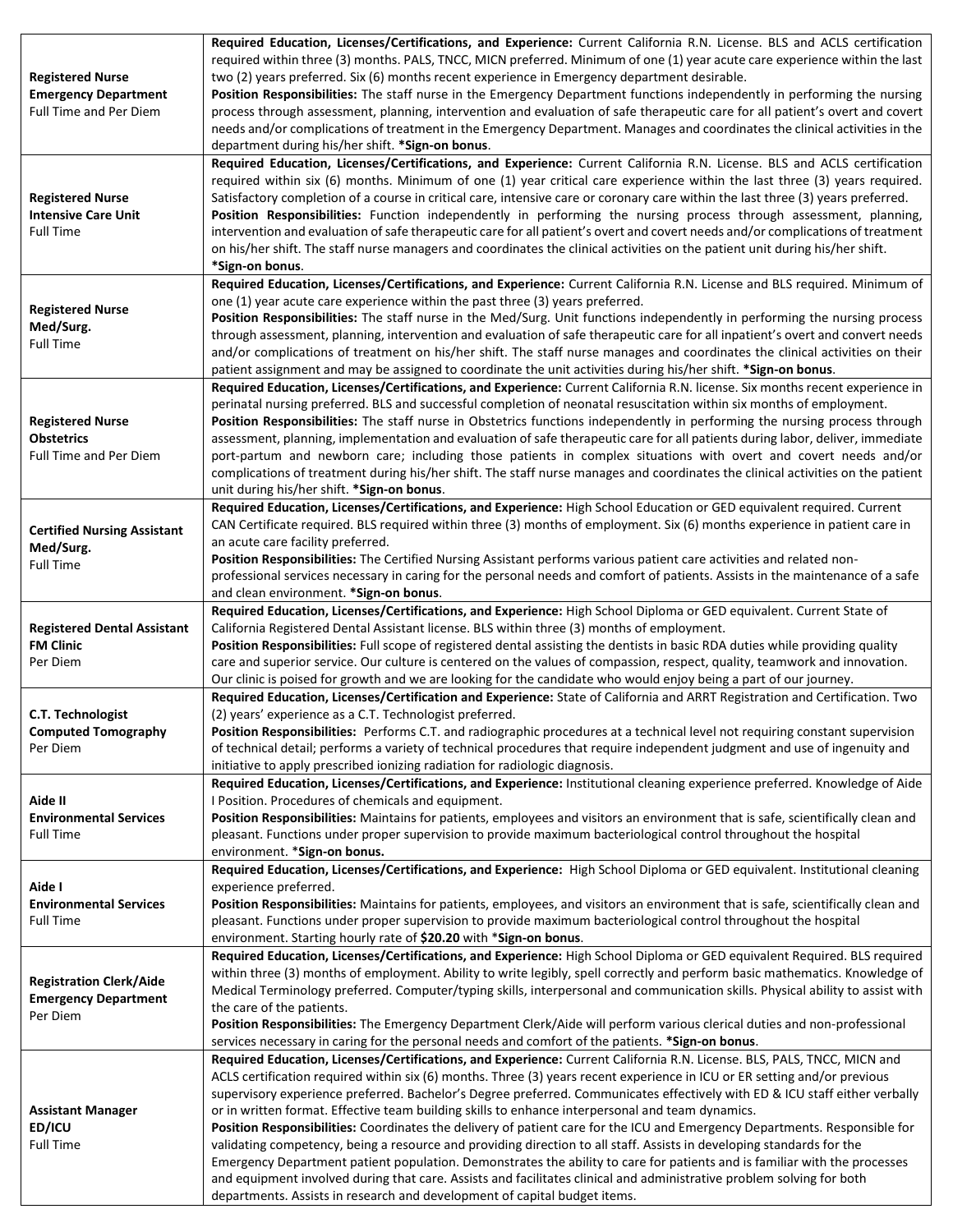| <b>Registered Nurse</b><br><b>Emergency Department</b><br>Full Time and Per Diem | Required Education, Licenses/Certifications, and Experience: Current California R.N. License. BLS and ACLS certification<br>required within three (3) months. PALS, TNCC, MICN preferred. Minimum of one (1) year acute care experience within the last<br>two (2) years preferred. Six (6) months recent experience in Emergency department desirable.<br>Position Responsibilities: The staff nurse in the Emergency Department functions independently in performing the nursing<br>process through assessment, planning, intervention and evaluation of safe therapeutic care for all patient's overt and covert<br>needs and/or complications of treatment in the Emergency Department. Manages and coordinates the clinical activities in the<br>department during his/her shift. *Sign-on bonus.                                                                                                                                                                                                                                                                           |
|----------------------------------------------------------------------------------|-----------------------------------------------------------------------------------------------------------------------------------------------------------------------------------------------------------------------------------------------------------------------------------------------------------------------------------------------------------------------------------------------------------------------------------------------------------------------------------------------------------------------------------------------------------------------------------------------------------------------------------------------------------------------------------------------------------------------------------------------------------------------------------------------------------------------------------------------------------------------------------------------------------------------------------------------------------------------------------------------------------------------------------------------------------------------------------|
| <b>Registered Nurse</b><br><b>Intensive Care Unit</b><br><b>Full Time</b>        | Required Education, Licenses/Certifications, and Experience: Current California R.N. License. BLS and ACLS certification<br>required within six (6) months. Minimum of one (1) year critical care experience within the last three (3) years required.<br>Satisfactory completion of a course in critical care, intensive care or coronary care within the last three (3) years preferred.<br>Position Responsibilities: Function independently in performing the nursing process through assessment, planning,<br>intervention and evaluation of safe therapeutic care for all patient's overt and covert needs and/or complications of treatment<br>on his/her shift. The staff nurse managers and coordinates the clinical activities on the patient unit during his/her shift.<br>*Sign-on bonus.                                                                                                                                                                                                                                                                             |
| <b>Registered Nurse</b><br>Med/Surg.<br><b>Full Time</b>                         | Required Education, Licenses/Certifications, and Experience: Current California R.N. License and BLS required. Minimum of<br>one (1) year acute care experience within the past three (3) years preferred.<br>Position Responsibilities: The staff nurse in the Med/Surg. Unit functions independently in performing the nursing process<br>through assessment, planning, intervention and evaluation of safe therapeutic care for all inpatient's overt and convert needs<br>and/or complications of treatment on his/her shift. The staff nurse manages and coordinates the clinical activities on their<br>patient assignment and may be assigned to coordinate the unit activities during his/her shift. * Sign-on bonus.                                                                                                                                                                                                                                                                                                                                                     |
| <b>Registered Nurse</b><br><b>Obstetrics</b><br><b>Full Time and Per Diem</b>    | Required Education, Licenses/Certifications, and Experience: Current California R.N. license. Six months recent experience in<br>perinatal nursing preferred. BLS and successful completion of neonatal resuscitation within six months of employment.<br>Position Responsibilities: The staff nurse in Obstetrics functions independently in performing the nursing process through<br>assessment, planning, implementation and evaluation of safe therapeutic care for all patients during labor, deliver, immediate<br>port-partum and newborn care; including those patients in complex situations with overt and covert needs and/or<br>complications of treatment during his/her shift. The staff nurse manages and coordinates the clinical activities on the patient<br>unit during his/her shift. *Sign-on bonus.                                                                                                                                                                                                                                                        |
| <b>Certified Nursing Assistant</b><br>Med/Surg.<br><b>Full Time</b>              | Required Education, Licenses/Certifications, and Experience: High School Education or GED equivalent required. Current<br>CAN Certificate required. BLS required within three (3) months of employment. Six (6) months experience in patient care in<br>an acute care facility preferred.<br>Position Responsibilities: The Certified Nursing Assistant performs various patient care activities and related non-<br>professional services necessary in caring for the personal needs and comfort of patients. Assists in the maintenance of a safe<br>and clean environment. * Sign-on bonus.                                                                                                                                                                                                                                                                                                                                                                                                                                                                                    |
| <b>Registered Dental Assistant</b><br><b>FM Clinic</b><br>Per Diem               | Required Education, Licenses/Certifications, and Experience: High School Diploma or GED equivalent. Current State of<br>California Registered Dental Assistant license. BLS within three (3) months of employment.<br>Position Responsibilities: Full scope of registered dental assisting the dentists in basic RDA duties while providing quality<br>care and superior service. Our culture is centered on the values of compassion, respect, quality, teamwork and innovation.<br>Our clinic is poised for growth and we are looking for the candidate who would enjoy being a part of our journey.                                                                                                                                                                                                                                                                                                                                                                                                                                                                            |
| C.T. Technologist<br><b>Computed Tomography</b><br>Per Diem                      | Required Education, Licenses/Certification and Experience: State of California and ARRT Registration and Certification. Two<br>(2) years' experience as a C.T. Technologist preferred.<br>Position Responsibilities: Performs C.T. and radiographic procedures at a technical level not requiring constant supervision<br>of technical detail; performs a variety of technical procedures that require independent judgment and use of ingenuity and<br>initiative to apply prescribed ionizing radiation for radiologic diagnosis.                                                                                                                                                                                                                                                                                                                                                                                                                                                                                                                                               |
| Aide II<br><b>Environmental Services</b><br><b>Full Time</b>                     | Required Education, Licenses/Certifications, and Experience: Institutional cleaning experience preferred. Knowledge of Aide<br>I Position. Procedures of chemicals and equipment.<br>Position Responsibilities: Maintains for patients, employees and visitors an environment that is safe, scientifically clean and<br>pleasant. Functions under proper supervision to provide maximum bacteriological control throughout the hospital<br>environment. *Sign-on bonus.                                                                                                                                                                                                                                                                                                                                                                                                                                                                                                                                                                                                           |
| Aide I<br><b>Environmental Services</b><br><b>Full Time</b>                      | Required Education, Licenses/Certifications, and Experience: High School Diploma or GED equivalent. Institutional cleaning<br>experience preferred.<br>Position Responsibilities: Maintains for patients, employees, and visitors an environment that is safe, scientifically clean and<br>pleasant. Functions under proper supervision to provide maximum bacteriological control throughout the hospital<br>environment. Starting hourly rate of \$20.20 with *Sign-on bonus.                                                                                                                                                                                                                                                                                                                                                                                                                                                                                                                                                                                                   |
| <b>Registration Clerk/Aide</b><br><b>Emergency Department</b><br>Per Diem        | Required Education, Licenses/Certifications, and Experience: High School Diploma or GED equivalent Required. BLS required<br>within three (3) months of employment. Ability to write legibly, spell correctly and perform basic mathematics. Knowledge of<br>Medical Terminology preferred. Computer/typing skills, interpersonal and communication skills. Physical ability to assist with<br>the care of the patients.<br>Position Responsibilities: The Emergency Department Clerk/Aide will perform various clerical duties and non-professional<br>services necessary in caring for the personal needs and comfort of the patients. *Sign-on bonus.                                                                                                                                                                                                                                                                                                                                                                                                                          |
| <b>Assistant Manager</b><br>ED/ICU<br><b>Full Time</b>                           | Required Education, Licenses/Certifications, and Experience: Current California R.N. License. BLS, PALS, TNCC, MICN and<br>ACLS certification required within six (6) months. Three (3) years recent experience in ICU or ER setting and/or previous<br>supervisory experience preferred. Bachelor's Degree preferred. Communicates effectively with ED & ICU staff either verbally<br>or in written format. Effective team building skills to enhance interpersonal and team dynamics.<br>Position Responsibilities: Coordinates the delivery of patient care for the ICU and Emergency Departments. Responsible for<br>validating competency, being a resource and providing direction to all staff. Assists in developing standards for the<br>Emergency Department patient population. Demonstrates the ability to care for patients and is familiar with the processes<br>and equipment involved during that care. Assists and facilitates clinical and administrative problem solving for both<br>departments. Assists in research and development of capital budget items. |